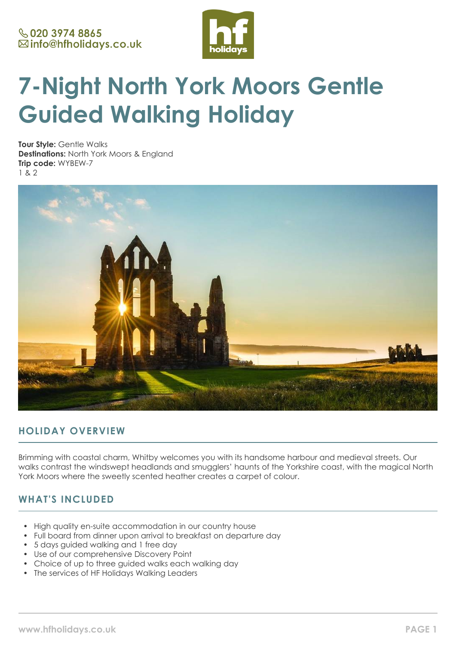

# **7-Night North York Moors Gentle Guided Walking Holiday**

**Tour Style:** Gentle Walks **Destinations:** North York Moors & England **Trip code:** WYBEW-7 1 & 2



# **HOLIDAY OVERVIEW**

Brimming with coastal charm, Whitby welcomes you with its handsome harbour and medieval streets. Our walks contrast the windswept headlands and smugglers' haunts of the Yorkshire coast, with the magical North York Moors where the sweetly scented heather creates a carpet of colour.

# **WHAT'S INCLUDED**

- High quality en-suite accommodation in our country house
- Full board from dinner upon arrival to breakfast on departure day
- 5 days guided walking and 1 free day
- Use of our comprehensive Discovery Point
- Choice of up to three guided walks each walking day
- The services of HF Holidays Walking Leaders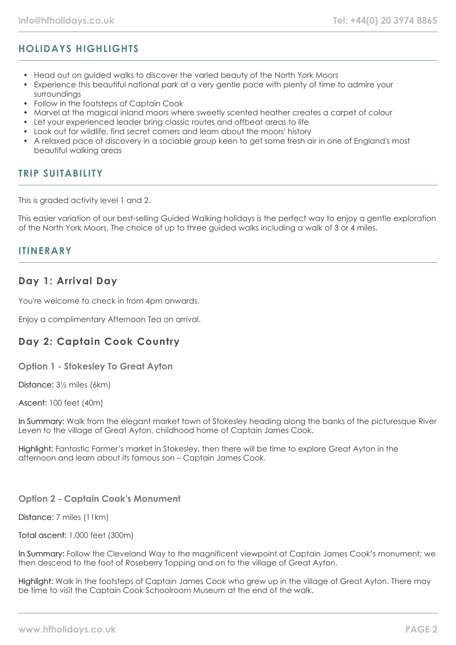# **HOLIDAYS HIGHLIGHTS**

- Head out on guided walks to discover the varied beauty of the North York Moors
- Experience this beautiful national park at a very gentle pace with plenty of time to admire your surroundings
- Follow in the footsteps of Captain Cook
- Marvel at the magical inland moors where sweetly scented heather creates a carpet of colour
- Let your experienced leader bring classic routes and offbeat areas to life
- Look out for wildlife, find secret corners and learn about the moors' history
- A relaxed pace of discovery in a sociable group keen to get some fresh air in one of England's most beautiful walking areas

## **TRIP SUITABILITY**

This is graded activity level 1 and 2.

This easier variation of our best-selling Guided Walking holidays is the perfect way to enjoy a gentle exploration of the North York Moors. The choice of up to three guided walks including a walk of 3 or 4 miles.

## **ITINERARY**

## **Day 1: Arrival Day**

You're welcome to check in from 4pm onwards.

Enjoy a complimentary Afternoon Tea on arrival.

# **Day 2: Captain Cook Country**

**Option 1 - Stokesley To Great Ayton**

Distance: 3½ miles (6km)

Ascent: 100 feet (40m)

In Summary: Walk from the elegant market town of Stokesley heading along the banks of the picturesque River Leven to the village of Great Ayton, childhood home of Captain James Cook.

Highlight: Fantastic Farmer's market in Stokesley, then there will be time to explore Great Ayton in the afternoon and learn about its famous son – Captain James Cook.

## **Option 2 - Captain Cook's Monument**

Distance: 7 miles (11km)

#### Total ascent: 1,000 feet (300m)

In Summary: Follow the Cleveland Way to the magnificent viewpoint at Captain James Cook's monument; we then descend to the foot of Roseberry Topping and on to the village of Great Ayton.

Highlight: Walk in the footsteps of Captain James Cook who grew up in the village of Great Ayton. There may be time to visit the Captain Cook Schoolroom Museum at the end of the walk.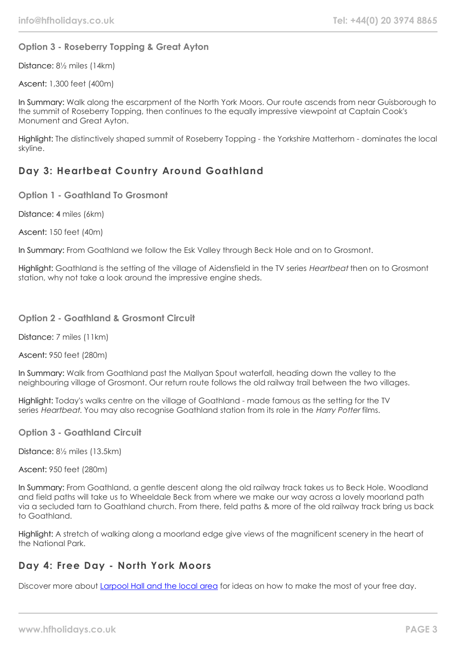## **Option 3 - Roseberry Topping & Great Ayton**

Distance: 8½ miles (14km)

Ascent: 1,300 feet (400m)

In Summary: Walk along the escarpment of the North York Moors. Our route ascends from near Guisborough to the summit of Roseberry Topping, then continues to the equally impressive viewpoint at Captain Cook's Monument and Great Ayton.

Highlight: The distinctively shaped summit of Roseberry Topping - the Yorkshire Matterhorn - dominates the local skyline.

# **Day 3: Heartbeat Country Around Goathland**

**Option 1 - Goathland To Grosmont**

Distance: 4 miles (6km)

Ascent: 150 feet (40m)

In Summary: From Goathland we follow the Esk Valley through Beck Hole and on to Grosmont.

Highlight: Goathland is the setting of the village of Aidensfield in the TV series Heartbeat then on to Grosmont station, why not take a look around the impressive engine sheds.

## **Option 2 - Goathland & Grosmont Circuit**

Distance: 7 miles (11km)

Ascent: 950 feet (280m)

In Summary: Walk from Goathland past the Mallyan Spout waterfall, heading down the valley to the neighbouring village of Grosmont. Our return route follows the old railway trail between the two villages.

Highlight: Today's walks centre on the village of Goathland - made famous as the setting for the TV series Heartbeat. You may also recognise Goathland station from its role in the Harry Potter films.

**Option 3 - Goathland Circuit**

Distance: 8½ miles (13.5km)

Ascent: 950 feet (280m)

In Summary: From Goathland, a gentle descent along the old railway track takes us to Beck Hole. Woodland and field paths will take us to Wheeldale Beck from where we make our way across a lovely moorland path via a secluded tarn to Goathland church. From there, feld paths & more of the old railway track bring us back to Goathland.

Highlight: A stretch of walking along a moorland edge give views of the magnificent scenery in the heart of the National Park.

## **Day 4: Free Day - North York Moors**

Discover more about [Larpool Hall and the local area](https://www.hfholidays.co.uk/country-houses/locations/whitby-north-york-moors) for ideas on how to make the most of your free day.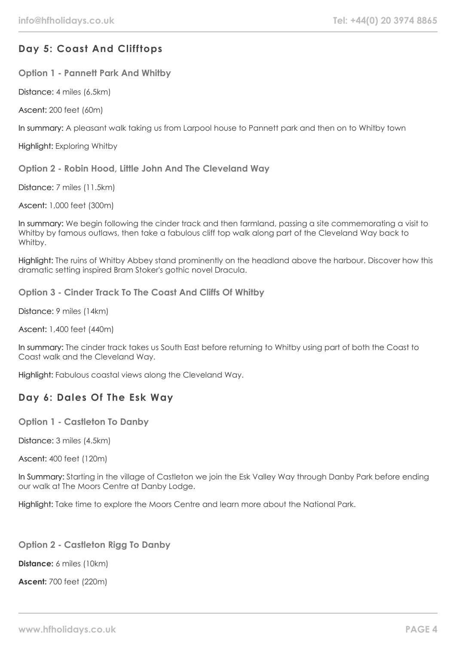# **Day 5: Coast And Clifftops**

**Option 1 - Pannett Park And Whitby**

Distance: 4 miles (6.5km)

Ascent: 200 feet (60m)

In summary: A pleasant walk taking us from Larpool house to Pannett park and then on to Whitby town

Highlight: Exploring Whitby

**Option 2 - Robin Hood, Little John And The Cleveland Way**

Distance: 7 miles (11.5km)

Ascent: 1,000 feet (300m)

In summary: We begin following the cinder track and then farmland, passing a site commemorating a visit to Whitby by famous outlaws, then take a fabulous cliff top walk along part of the Cleveland Way back to Whitby.

Highlight: The ruins of Whitby Abbey stand prominently on the headland above the harbour. Discover how this dramatic setting inspired Bram Stoker's gothic novel Dracula.

**Option 3 - Cinder Track To The Coast And Cliffs Of Whitby**

Distance: 9 miles (14km)

Ascent: 1,400 feet (440m)

In summary: The cinder track takes us South East before returning to Whitby using part of both the Coast to Coast walk and the Cleveland Way.

Highlight: Fabulous coastal views along the Cleveland Way.

# **Day 6: Dales Of The Esk Way**

**Option 1 - Castleton To Danby**

Distance: 3 miles (4.5km)

Ascent: 400 feet (120m)

In Summary: Starting in the village of Castleton we join the Esk Valley Way through Danby Park before ending our walk at The Moors Centre at Danby Lodge.

Highlight: Take time to explore the Moors Centre and learn more about the National Park.

## **Option 2 - Castleton Rigg To Danby**

**Distance:** 6 miles (10km)

**Ascent:** 700 feet (220m)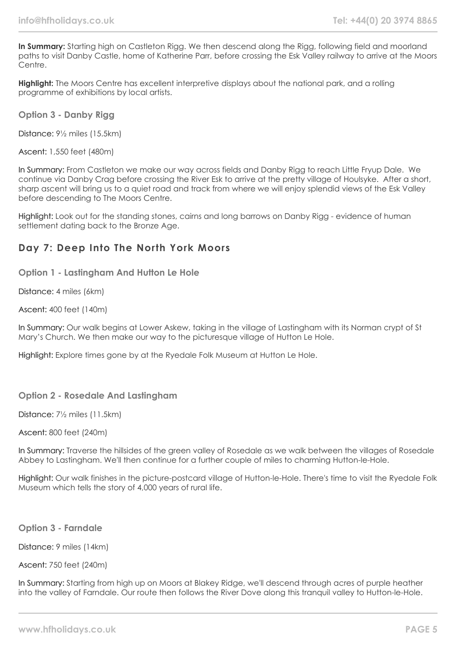**In Summary:** Starting high on Castleton Rigg. We then descend along the Rigg, following field and moorland paths to visit Danby Castle, home of Katherine Parr, before crossing the Esk Valley railway to arrive at the Moors Centre.

**Highlight:** The Moors Centre has excellent interpretive displays about the national park, and a rolling programme of exhibitions by local artists.

**Option 3 - Danby Rigg**

Distance: 9½ miles (15.5km)

Ascent: 1,550 feet (480m)

In Summary: From Castleton we make our way across fields and Danby Rigg to reach Little Fryup Dale. We continue via Danby Crag before crossing the River Esk to arrive at the pretty village of Houlsyke. After a short, sharp ascent will bring us to a quiet road and track from where we will enjoy splendid views of the Esk Valley before descending to The Moors Centre.

Highlight: Look out for the standing stones, cairns and long barrows on Danby Rigg - evidence of human settlement dating back to the Bronze Age.

## **Day 7: Deep Into The North York Moors**

**Option 1 - Lastingham And Hutton Le Hole**

Distance: 4 miles (6km)

Ascent: 400 feet (140m)

In Summary: Our walk begins at Lower Askew, taking in the village of Lastingham with its Norman crypt of St Mary's Church. We then make our way to the picturesque village of Hutton Le Hole.

Highlight: Explore times gone by at the Ryedale Folk Museum at Hutton Le Hole.

## **Option 2 - Rosedale And Lastingham**

Distance: 7½ miles (11.5km)

Ascent: 800 feet (240m)

In Summary: Traverse the hillsides of the green valley of Rosedale as we walk between the villages of Rosedale Abbey to Lastingham. We'll then continue for a further couple of miles to charming Hutton-le-Hole.

Highlight: Our walk finishes in the picture-postcard village of Hutton-le-Hole. There's time to visit the Ryedale Folk Museum which tells the story of 4,000 years of rural life.

**Option 3 - Farndale**

Distance: 9 miles (14km)

Ascent: 750 feet (240m)

In Summary: Starting from high up on Moors at Blakey Ridge, we'll descend through acres of purple heather into the valley of Farndale. Our route then follows the River Dove along this tranquil valley to Hutton-le-Hole.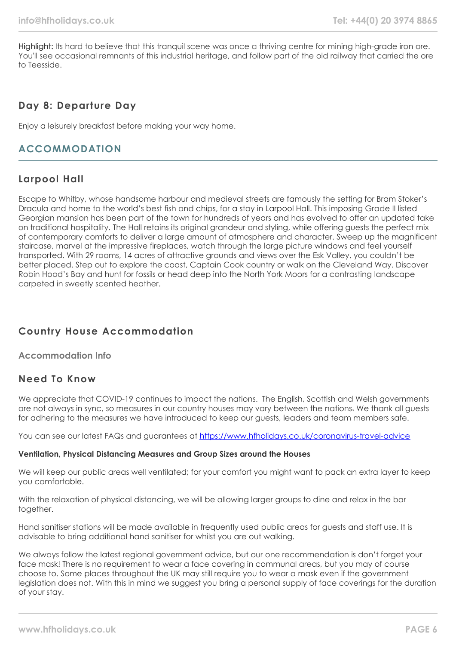Highlight: Its hard to believe that this tranquil scene was once a thriving centre for mining high-grade iron ore. You'll see occasional remnants of this industrial heritage, and follow part of the old railway that carried the ore to Teesside.

## **Day 8: Departure Day**

Enjoy a leisurely breakfast before making your way home.

## **ACCOMMODATION**

# **Larpool Hall**

Escape to Whitby, whose handsome harbour and medieval streets are famously the setting for Bram Stoker's Dracula and home to the world's best fish and chips, for a stay in Larpool Hall. This imposing Grade II listed Georgian mansion has been part of the town for hundreds of years and has evolved to offer an updated take on traditional hospitality. The Hall retains its original grandeur and styling, while offering guests the perfect mix of contemporary comforts to deliver a large amount of atmosphere and character. Sweep up the magnificent staircase, marvel at the impressive fireplaces, watch through the large picture windows and feel yourself transported. With 29 rooms, 14 acres of attractive grounds and views over the Esk Valley, you couldn't be better placed. Step out to explore the coast, Captain Cook country or walk on the Cleveland Way. Discover Robin Hood's Bay and hunt for fossils or head deep into the North York Moors for a contrasting landscape carpeted in sweetly scented heather.

# **Country House Accommodation**

## **Accommodation Info**

## **Need To Know**

We appreciate that COVID-19 continues to impact the nations. The English, Scottish and Welsh governments are not always in sync, so measures in our country houses may vary between the nations. We thank all quests for adhering to the measures we have introduced to keep our guests, leaders and team members safe.

You can see our latest FAQs and guarantees at <https://www.hfholidays.co.uk/coronavirus-travel-advice>

#### **Ventilation, Physical Distancing Measures and Group Sizes around the Houses**

We will keep our public areas well ventilated; for your comfort you might want to pack an extra layer to keep you comfortable.

With the relaxation of physical distancing, we will be allowing larger groups to dine and relax in the bar together.

Hand sanitiser stations will be made available in frequently used public areas for guests and staff use. It is advisable to bring additional hand sanitiser for whilst you are out walking.

We always follow the latest regional government advice, but our one recommendation is don't forget your face mask! There is no requirement to wear a face covering in communal areas, but you may of course choose to. Some places throughout the UK may still require you to wear a mask even if the government legislation does not. With this in mind we suggest you bring a personal supply of face coverings for the duration of your stay.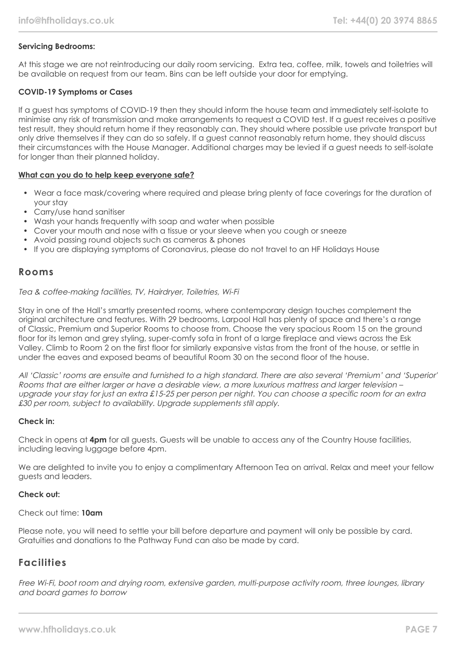## **Servicing Bedrooms:**

At this stage we are not reintroducing our daily room servicing. Extra tea, coffee, milk, towels and toiletries will be available on request from our team. Bins can be left outside your door for emptying.

#### **COVID-19 Symptoms or Cases**

If a guest has symptoms of COVID-19 then they should inform the house team and immediately self-isolate to minimise any risk of transmission and make arrangements to request a COVID test. If a guest receives a positive test result, they should return home if they reasonably can. They should where possible use private transport but only drive themselves if they can do so safely. If a guest cannot reasonably return home, they should discuss their circumstances with the House Manager. Additional charges may be levied if a guest needs to self-isolate for longer than their planned holiday.

#### **What can you do to help keep everyone safe?**

- Wear a face mask/covering where required and please bring plenty of face coverings for the duration of your stay
- Carry/use hand sanitiser
- Wash your hands frequently with soap and water when possible
- Cover your mouth and nose with a tissue or your sleeve when you cough or sneeze
- Avoid passing round objects such as cameras & phones
- If you are displaying symptoms of Coronavirus, please do not travel to an HF Holidays House

## **Rooms**

#### Tea & coffee-making facilities, TV, Hairdryer, Toiletries, Wi-Fi

Stay in one of the Hall's smartly presented rooms, where contemporary design touches complement the original architecture and features. With 29 bedrooms, Larpool Hall has plenty of space and there's a range of Classic, Premium and Superior Rooms to choose from. Choose the very spacious Room 15 on the ground floor for its lemon and grey styling, super-comfy sofa in front of a large fireplace and views across the Esk Valley. Climb to Room 2 on the first floor for similarly expansive vistas from the front of the house, or settle in under the eaves and exposed beams of beautiful Room 30 on the second floor of the house.

All 'Classic' rooms are ensuite and furnished to a high standard. There are also several 'Premium' and 'Superior' Rooms that are either larger or have a desirable view, a more luxurious mattress and larger television – upgrade your stay for just an extra £15-25 per person per night. You can choose a specific room for an extra £30 per room, subject to availability. Upgrade supplements still apply.

#### **Check in:**

Check in opens at **4pm** for all guests. Guests will be unable to access any of the Country House facilities, including leaving luggage before 4pm.

We are delighted to invite you to enjoy a complimentary Afternoon Tea on arrival. Relax and meet your fellow guests and leaders.

#### **Check out:**

#### Check out time: **10am**

Please note, you will need to settle your bill before departure and payment will only be possible by card. Gratuities and donations to the Pathway Fund can also be made by card.

## **Facilities**

Free Wi-Fi, boot room and drying room, extensive garden, multi-purpose activity room, three lounges, library and board games to borrow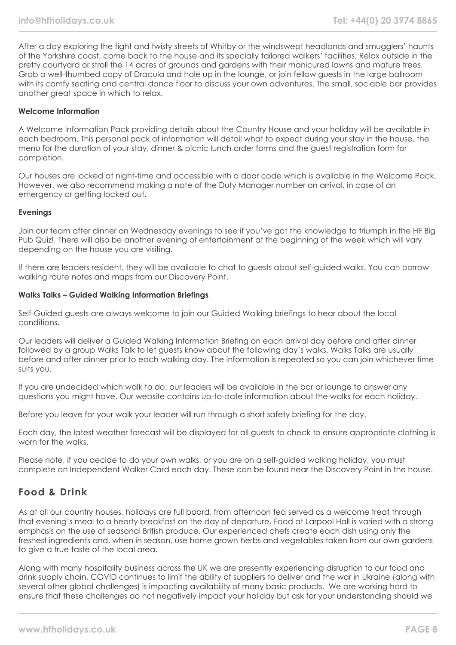After a day exploring the tight and twisty streets of Whitby or the windswept headlands and smugglers' haunts of the Yorkshire coast, come back to the house and its specially tailored walkers' facilities. Relax outside in the pretty courtyard or stroll the 14 acres of grounds and gardens with their manicured lawns and mature trees. Grab a well-thumbed copy of Dracula and hole up in the lounge, or join fellow guests in the large ballroom with its comfy seating and central dance floor to discuss your own adventures. The small, sociable bar provides another great space in which to relax.

#### **Welcome Information**

A Welcome Information Pack providing details about the Country House and your holiday will be available in each bedroom. This personal pack of information will detail what to expect during your stay in the house, the menu for the duration of your stay, dinner & picnic lunch order forms and the guest registration form for completion.

Our houses are locked at night-time and accessible with a door code which is available in the Welcome Pack. However, we also recommend making a note of the Duty Manager number on arrival, in case of an emergency or getting locked out.

#### **Evenings**

Join our team after dinner on Wednesday evenings to see if you've got the knowledge to triumph in the HF Big Pub Quiz! There will also be another evening of entertainment at the beginning of the week which will vary depending on the house you are visiting.

If there are leaders resident, they will be available to chat to guests about self-guided walks. You can borrow walking route notes and maps from our Discovery Point.

#### **Walks Talks – Guided Walking Information Briefings**

Self-Guided guests are always welcome to join our Guided Walking briefings to hear about the local conditions.

Our leaders will deliver a Guided Walking Information Briefing on each arrival day before and after dinner followed by a group Walks Talk to let guests know about the following day's walks. Walks Talks are usually before and after dinner prior to each walking day. The information is repeated so you can join whichever time suits you.

If you are undecided which walk to do, our leaders will be available in the bar or lounge to answer any questions you might have. Our website contains up-to-date information about the walks for each holiday.

Before you leave for your walk your leader will run through a short safety briefing for the day.

Each day, the latest weather forecast will be displayed for all guests to check to ensure appropriate clothing is worn for the walks.

Please note, if you decide to do your own walks, or you are on a self-guided walking holiday, you must complete an Independent Walker Card each day. These can be found near the Discovery Point in the house.

## **Food & Drink**

As at all our country houses, holidays are full board, from afternoon tea served as a welcome treat through that evening's meal to a hearty breakfast on the day of departure. Food at Larpool Hall is varied with a strong emphasis on the use of seasonal British produce. Our experienced chefs create each dish using only the freshest ingredients and, when in season, use home grown herbs and vegetables taken from our own gardens to give a true taste of the local area.

Along with many hospitality business across the UK we are presently experiencing disruption to our food and drink supply chain. COVID continues to limit the ability of suppliers to deliver and the war in Ukraine (along with several other global challenges) is impacting availability of many basic products. We are working hard to ensure that these challenges do not negatively impact your holiday but ask for your understanding should we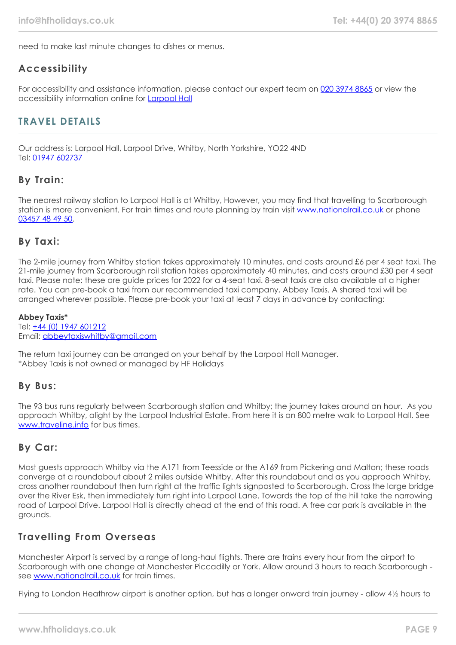need to make last minute changes to dishes or menus.

## **Accessibility**

For accessibility and assistance information, please contact our expert team on [020 3974 8865](tel:02039748865) or view the accessibility information online for [Larpool Hall](https://www.hfholidays.co.uk/%22images/Documents/accessibility_statements/larpool-hall---accessibility-information---update-mar-2021.pdf%22)

## **TRAVEL DETAILS**

Our address is: Larpool Hall, Larpool Drive, Whitby, North Yorkshire, YO22 4ND Tel: [01947 602737](tel:01947602737)

## **By Train:**

The nearest railway station to Larpool Hall is at Whitby, However, you may find that travelling to Scarborough station is more convenient. For train times and route planning by train visit [www.nationalrail.co.uk](https://www.nationalrail.co.uk/) or phone [03457 48 49 50.](tel:03457484950)

## **By Taxi:**

The 2-mile journey from Whitby station takes approximately 10 minutes, and costs around £6 per 4 seat taxi. The 21-mile journey from Scarborough rail station takes approximately 40 minutes, and costs around £30 per 4 seat taxi. Please note: these are guide prices for 2022 for a 4-seat taxi. 8-seat taxis are also available at a higher rate. You can pre-book a taxi from our recommended taxi company, Abbey Taxis. A shared taxi will be arranged wherever possible. Please pre-book your taxi at least 7 days in advance by contacting:

## **Abbey Taxis\***

Tel: [+44 \(0\) 1947 601212](tel:01947601212) Email: [abbeytaxiswhitby@gmail.com](mailto:abbeytaxiswhitby@gmail.com)

The return taxi journey can be arranged on your behalf by the Larpool Hall Manager. \*Abbey Taxis is not owned or managed by HF Holidays

## **By Bus:**

The 93 bus runs regularly between Scarborough station and Whitby; the journey takes around an hour. As you approach Whitby, alight by the Larpool Industrial Estate. From here it is an 800 metre walk to Larpool Hall. See [www.traveline.info](https://www.traveline.info/) for bus times.

## **By Car:**

Most guests approach Whitby via the A171 from Teesside or the A169 from Pickering and Malton; these roads converge at a roundabout about 2 miles outside Whitby. After this roundabout and as you approach Whitby, cross another roundabout then turn right at the traffic lights signposted to Scarborough. Cross the large bridge over the River Esk, then immediately turn right into Larpool Lane. Towards the top of the hill take the narrowing road of Larpool Drive. Larpool Hall is directly ahead at the end of this road. A free car park is available in the grounds.

## **Travelling From Overseas**

Manchester Airport is served by a range of long-haul flights. There are trains every hour from the airport to Scarborough with one change at Manchester Piccadilly or York. Allow around 3 hours to reach Scarborough see [www.nationalrail.co.uk](https://www.nationalrail.co.uk/) for train times.

Flying to London Heathrow airport is another option, but has a longer onward train journey - allow 4½ hours to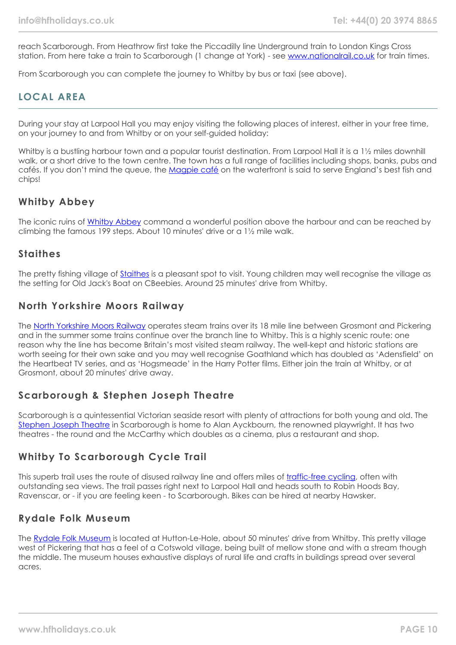reach Scarborough. From Heathrow first take the Piccadilly line Underground train to London Kings Cross station. From here take a train to Scarborough (1 change at York) - see [www.nationalrail.co.uk](https://www.nationalrail.co.uk/) for train times.

From Scarborough you can complete the journey to Whitby by bus or taxi (see above).

# **LOCAL AREA**

During your stay at Larpool Hall you may enjoy visiting the following places of interest, either in your free time, on your journey to and from Whitby or on your self-guided holiday:

Whitby is a bustling harbour town and a popular tourist destination. From Larpool Hall it is a 1½ miles downhill walk, or a short drive to the town centre. The town has a full range of facilities including shops, banks, pubs and cafés. If you don't mind the queue, the [Magpie café](http://www.magpiecafe.co.uk/) on the waterfront is said to serve England's best fish and chips!

## **Whitby Abbey**

The iconic ruins of [Whitby Abbey](https://www.english-heritage.org.uk/visit/places/whitby-abbey/) command a wonderful position above the harbour and can be reached by climbing the famous 199 steps. About 10 minutes' drive or a 1½ mile walk.

## **Staithes**

The pretty fishing village of [Staithes](https://www.yorkshire.com/places/yorkshire-coast/staithes) is a pleasant spot to visit. Young children may well recognise the village as the setting for Old Jack's Boat on CBeebies. Around 25 minutes' drive from Whitby.

# **North Yorkshire Moors Railway**

The [North Yorkshire Moors Railway](https://www.nymr.co.uk/) operates steam trains over its 18 mile line between Grosmont and Pickering and in the summer some trains continue over the branch line to Whitby. This is a highly scenic route: one reason why the line has become Britain's most visited steam railway. The well-kept and historic stations are worth seeing for their own sake and you may well recognise Goathland which has doubled as 'Adensfield' on the Heartbeat TV series, and as 'Hogsmeade' in the Harry Potter films. Either join the train at Whitby, or at Grosmont, about 20 minutes' drive away.

# **Scarborough & Stephen Joseph Theatre**

Scarborough is a quintessential Victorian seaside resort with plenty of attractions for both young and old. The [Stephen Joseph Theatre](https://www.sjt.uk.com/) in Scarborough is home to Alan Ayckbourn, the renowned playwright. It has two theatres - the round and the McCarthy which doubles as a cinema, plus a restaurant and shop.

# **Whitby To Scarborough Cycle Trail**

This superb trail uses the route of disused railway line and offers miles of [traffic-free cycling](https://www.trailways.info/), often with outstanding sea views. The trail passes right next to Larpool Hall and heads south to Robin Hoods Bay, Ravenscar, or - if you are feeling keen - to Scarborough. Bikes can be hired at nearby Hawsker.

## **Rydale Folk Museum**

The [Rydale Folk Museum](https://www.ryedalefolkmuseum.co.uk/) is located at Hutton-Le-Hole, about 50 minutes' drive from Whitby. This pretty village west of Pickering that has a feel of a Cotswold village, being built of mellow stone and with a stream though the middle. The museum houses exhaustive displays of rural life and crafts in buildings spread over several acres.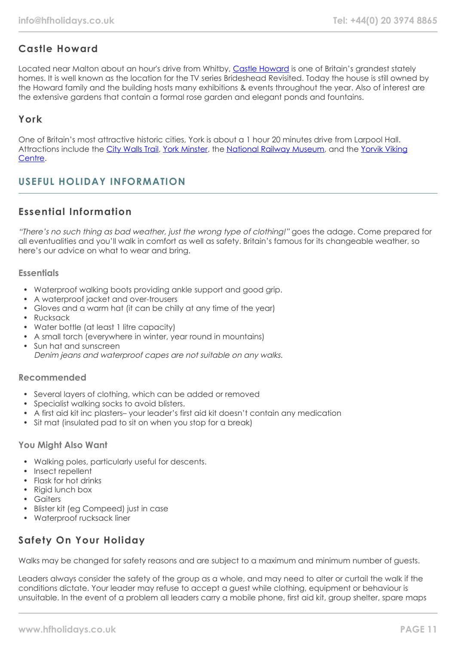# **Castle Howard**

Located near Malton about an hour's drive from Whitby, [Castle Howard](https://www.castlehoward.co.uk/) is one of Britain's grandest stately homes. It is well known as the location for the TV series Brideshead Revisited. Today the house is still owned by the Howard family and the building hosts many exhibitions & events throughout the year. Also of interest are the extensive gardens that contain a formal rose garden and elegant ponds and fountains.

# **York**

One of Britain's most attractive historic cities, York is about a 1 hour 20 minutes drive from Larpool Hall. Attractions include the [City Walls Trail](https://www.yorkwalls.org.uk/?page_id=3690), [York Minster](https://yorkminster.org/), the [National Railway Museum,](https://www.railwaymuseum.org.uk/) and the [Yorvik Viking](https://www.jorvikvikingcentre.co.uk/) [Centre](https://www.jorvikvikingcentre.co.uk/).

# **USEFUL HOLIDAY INFORMATION**

# **Essential Information**

"There's no such thing as bad weather, just the wrong type of clothing!" goes the adage. Come prepared for all eventualities and you'll walk in comfort as well as safety. Britain's famous for its changeable weather, so here's our advice on what to wear and bring.

## **Essentials**

- Waterproof walking boots providing ankle support and good grip.
- A waterproof jacket and over-trousers
- Gloves and a warm hat (it can be chilly at any time of the year)
- Rucksack
- Water bottle (at least 1 litre capacity)
- A small torch (everywhere in winter, year round in mountains)
- Sun hat and sunscreen Denim jeans and waterproof capes are not suitable on any walks.

## **Recommended**

- Several layers of clothing, which can be added or removed
- Specialist walking socks to avoid blisters.
- A first aid kit inc plasters– your leader's first aid kit doesn't contain any medication
- Sit mat (insulated pad to sit on when you stop for a break)

## **You Might Also Want**

- Walking poles, particularly useful for descents.
- Insect repellent
- Flask for hot drinks
- Rigid lunch box
- Gaiters
- Blister kit (eg Compeed) just in case
- Waterproof rucksack liner

# **Safety On Your Holiday**

Walks may be changed for safety reasons and are subject to a maximum and minimum number of guests.

Leaders always consider the safety of the group as a whole, and may need to alter or curtail the walk if the conditions dictate. Your leader may refuse to accept a guest while clothing, equipment or behaviour is unsuitable. In the event of a problem all leaders carry a mobile phone, first aid kit, group shelter, spare maps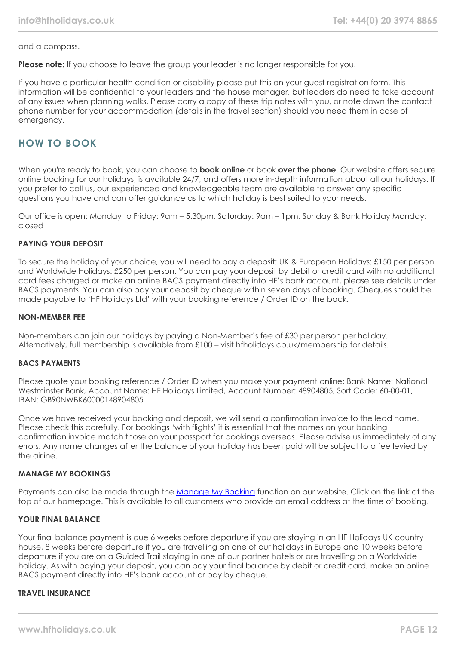and a compass.

**Please note:** If you choose to leave the group your leader is no longer responsible for you.

If you have a particular health condition or disability please put this on your guest registration form. This information will be confidential to your leaders and the house manager, but leaders do need to take account of any issues when planning walks. Please carry a copy of these trip notes with you, or note down the contact phone number for your accommodation (details in the travel section) should you need them in case of emergency.

# **HOW TO BOOK**

When you're ready to book, you can choose to **book online** or book **over the phone**. Our website offers secure online booking for our holidays, is available 24/7, and offers more in-depth information about all our holidays. If you prefer to call us, our experienced and knowledgeable team are available to answer any specific questions you have and can offer guidance as to which holiday is best suited to your needs.

Our office is open: Monday to Friday: 9am – 5.30pm, Saturday: 9am – 1pm, Sunday & Bank Holiday Monday: closed

## **PAYING YOUR DEPOSIT**

To secure the holiday of your choice, you will need to pay a deposit: UK & European Holidays: £150 per person and Worldwide Holidays: £250 per person. You can pay your deposit by debit or credit card with no additional card fees charged or make an online BACS payment directly into HF's bank account, please see details under BACS payments. You can also pay your deposit by cheque within seven days of booking. Cheques should be made payable to 'HF Holidays Ltd' with your booking reference / Order ID on the back.

#### **NON-MEMBER FEE**

Non-members can join our holidays by paying a Non-Member's fee of £30 per person per holiday. Alternatively, full membership is available from £100 – visit hfholidays.co.uk/membership for details.

#### **BACS PAYMENTS**

Please quote your booking reference / Order ID when you make your payment online: Bank Name: National Westminster Bank, Account Name: HF Holidays Limited, Account Number: 48904805, Sort Code: 60-00-01, IBAN: GB90NWBK60000148904805

Once we have received your booking and deposit, we will send a confirmation invoice to the lead name. Please check this carefully. For bookings 'with flights' it is essential that the names on your booking confirmation invoice match those on your passport for bookings overseas. Please advise us immediately of any errors. Any name changes after the balance of your holiday has been paid will be subject to a fee levied by the airline.

#### **MANAGE MY BOOKINGS**

Payments can also be made through the [Manage My Booking](https://www.hfholidays.co.uk/about-us/bookings/my-booking) function on our website. Click on the link at the top of our homepage. This is available to all customers who provide an email address at the time of booking.

#### **YOUR FINAL BALANCE**

Your final balance payment is due 6 weeks before departure if you are staying in an HF Holidays UK country house, 8 weeks before departure if you are travelling on one of our holidays in Europe and 10 weeks before departure if you are on a Guided Trail staying in one of our partner hotels or are travelling on a Worldwide holiday. As with paying your deposit, you can pay your final balance by debit or credit card, make an online BACS payment directly into HF's bank account or pay by cheque.

## **TRAVEL INSURANCE**